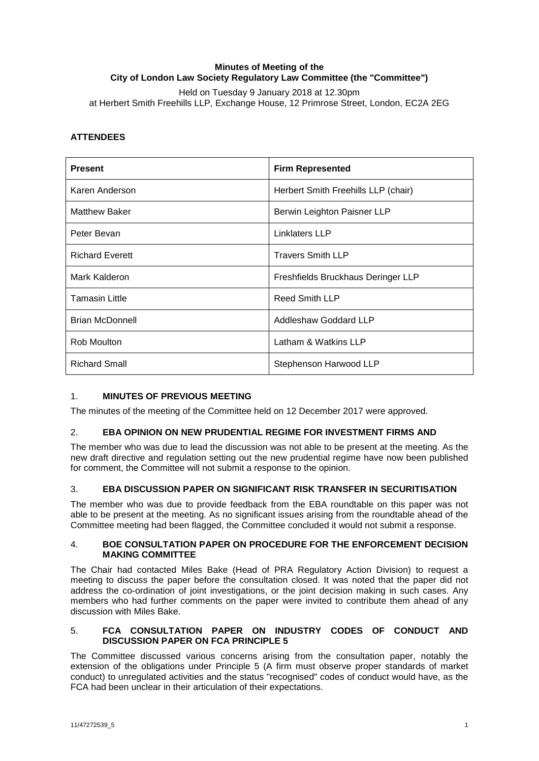# **Minutes of Meeting of the City of London Law Society Regulatory Law Committee (the "Committee")**

Held on Tuesday 9 January 2018 at 12.30pm at Herbert Smith Freehills LLP, Exchange House, 12 Primrose Street, London, EC2A 2EG

# **ATTENDEES**

| <b>Present</b>         | <b>Firm Represented</b>             |
|------------------------|-------------------------------------|
| Karen Anderson         | Herbert Smith Freehills LLP (chair) |
| <b>Matthew Baker</b>   | Berwin Leighton Paisner LLP         |
| Peter Bevan            | Linklaters LLP                      |
| <b>Richard Everett</b> | <b>Travers Smith LLP</b>            |
| Mark Kalderon          | Freshfields Bruckhaus Deringer LLP  |
| <b>Tamasin Little</b>  | <b>Reed Smith LLP</b>               |
| <b>Brian McDonnell</b> | Addleshaw Goddard LLP               |
| Rob Moulton            | Latham & Watkins LLP                |
| <b>Richard Small</b>   | Stephenson Harwood LLP              |

## 1. **MINUTES OF PREVIOUS MEETING**

The minutes of the meeting of the Committee held on 12 December 2017 were approved.

## 2. **EBA OPINION ON NEW PRUDENTIAL REGIME FOR INVESTMENT FIRMS AND**

The member who was due to lead the discussion was not able to be present at the meeting. As the new draft directive and regulation setting out the new prudential regime have now been published for comment, the Committee will not submit a response to the opinion.

## 3. **EBA DISCUSSION PAPER ON SIGNIFICANT RISK TRANSFER IN SECURITISATION**

The member who was due to provide feedback from the EBA roundtable on this paper was not able to be present at the meeting. As no significant issues arising from the roundtable ahead of the Committee meeting had been flagged, the Committee concluded it would not submit a response.

#### 4. **BOE CONSULTATION PAPER ON PROCEDURE FOR THE ENFORCEMENT DECISION MAKING COMMITTEE**

The Chair had contacted Miles Bake (Head of PRA Regulatory Action Division) to request a meeting to discuss the paper before the consultation closed. It was noted that the paper did not address the co-ordination of joint investigations, or the joint decision making in such cases. Any members who had further comments on the paper were invited to contribute them ahead of any discussion with Miles Bake.

# 5. **FCA CONSULTATION PAPER ON INDUSTRY CODES OF CONDUCT AND DISCUSSION PAPER ON FCA PRINCIPLE 5**

The Committee discussed various concerns arising from the consultation paper, notably the extension of the obligations under Principle 5 (A firm must observe proper standards of market conduct) to unregulated activities and the status "recognised" codes of conduct would have, as the FCA had been unclear in their articulation of their expectations.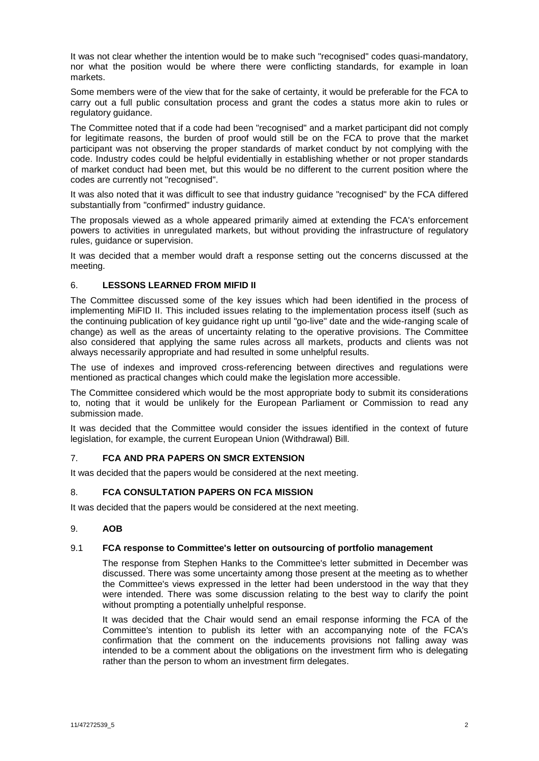It was not clear whether the intention would be to make such "recognised" codes quasi-mandatory, nor what the position would be where there were conflicting standards, for example in loan markets.

Some members were of the view that for the sake of certainty, it would be preferable for the FCA to carry out a full public consultation process and grant the codes a status more akin to rules or regulatory guidance.

The Committee noted that if a code had been "recognised" and a market participant did not comply for legitimate reasons, the burden of proof would still be on the FCA to prove that the market participant was not observing the proper standards of market conduct by not complying with the code. Industry codes could be helpful evidentially in establishing whether or not proper standards of market conduct had been met, but this would be no different to the current position where the codes are currently not "recognised".

It was also noted that it was difficult to see that industry guidance "recognised" by the FCA differed substantially from "confirmed" industry guidance.

The proposals viewed as a whole appeared primarily aimed at extending the FCA's enforcement powers to activities in unregulated markets, but without providing the infrastructure of regulatory rules, guidance or supervision.

It was decided that a member would draft a response setting out the concerns discussed at the meeting.

### 6. **LESSONS LEARNED FROM MIFID II**

The Committee discussed some of the key issues which had been identified in the process of implementing MiFID II. This included issues relating to the implementation process itself (such as the continuing publication of key guidance right up until "go-live" date and the wide-ranging scale of change) as well as the areas of uncertainty relating to the operative provisions. The Committee also considered that applying the same rules across all markets, products and clients was not always necessarily appropriate and had resulted in some unhelpful results.

The use of indexes and improved cross-referencing between directives and regulations were mentioned as practical changes which could make the legislation more accessible.

The Committee considered which would be the most appropriate body to submit its considerations to, noting that it would be unlikely for the European Parliament or Commission to read any submission made.

It was decided that the Committee would consider the issues identified in the context of future legislation, for example, the current European Union (Withdrawal) Bill.

#### 7. **FCA AND PRA PAPERS ON SMCR EXTENSION**

It was decided that the papers would be considered at the next meeting.

#### 8. **FCA CONSULTATION PAPERS ON FCA MISSION**

It was decided that the papers would be considered at the next meeting.

### 9. **AOB**

### 9.1 **FCA response to Committee's letter on outsourcing of portfolio management**

The response from Stephen Hanks to the Committee's letter submitted in December was discussed. There was some uncertainty among those present at the meeting as to whether the Committee's views expressed in the letter had been understood in the way that they were intended. There was some discussion relating to the best way to clarify the point without prompting a potentially unhelpful response.

It was decided that the Chair would send an email response informing the FCA of the Committee's intention to publish its letter with an accompanying note of the FCA's confirmation that the comment on the inducements provisions not falling away was intended to be a comment about the obligations on the investment firm who is delegating rather than the person to whom an investment firm delegates.